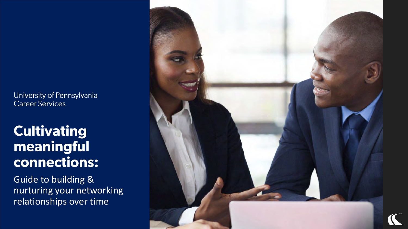University of Pennsylvania Career Services

### **Cultivating** meaningful connections:

Guide to building & nurturing your networking relationships over time

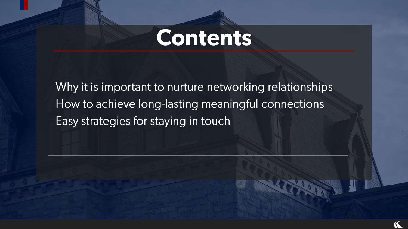# **Contents**

Why it is important to nurture networking relationships How to achieve long-lasting meaningful connections Easy strategies for staying in touch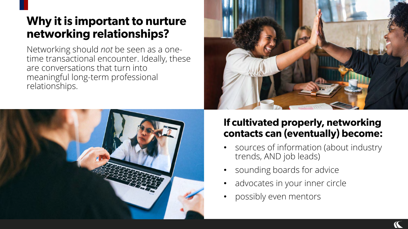### Why it is important to nurture networking relationships?

Networking should *not* be seen as a onetime transactional encounter. Ideally, these are conversations that turn into meaningful long-term professional relationships.





#### If cultivated properly, networking contacts can (eventually) become:

- sources of information (about industry trends, AND job leads)
- sounding boards for advice
- advocates in your inner circle
- possibly even mentors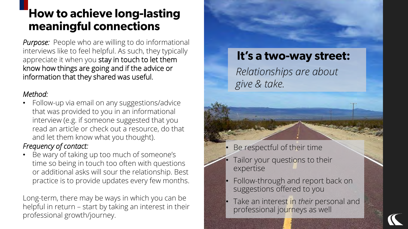### **How to achieve long-lasting** meaningful connections

*Purpose:* People who are willing to do informational interviews like to feel helpful. As such, they typically appreciate it when you stay in touch to let them know how things are going and if the advice or information that they shared was useful.

#### *Method:*

• Follow-up via email on any suggestions/advice that was provided to you in an informational interview (e.g. if someone suggested that you read an article or check out a resource, do that and let them know what you thought).

#### *Frequency of contact:*

• Be wary of taking up too much of someone's time so being in touch too often with questions or additional asks will sour the relationship. Best practice is to provide updates every few months.

Long-term, there may be ways in which you can be helpful in return – start by taking an interest in their professional growth/journey.

#### It's a two-way street:

*Relationships are about give & take.*

- Be respectful of their time
- Tailor your questions to their expertise
- Follow-through and report back on suggestions offered to you
- Take an interest in *their* personal and professional journeys as well